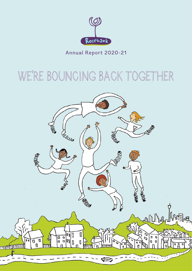

Annual Report 2020-21

# WE'RE BOUNCING BACK TOGETHER

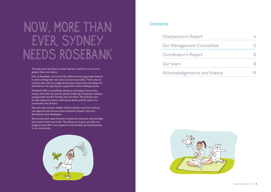## **Contents**

Chairperson's Report 4

Our Management Com

Coordinator's Report

Our team

Acknowledgements are



| nmittee          | 5         |
|------------------|-----------|
|                  | $\supset$ |
|                  | Κ         |
| <b>nd</b> thanks |           |

The past year has shown us that Sydney's need for our service is greater than ever before.

Here at Rosebank, we know that children and young people deserve to start writing their own story as soon as possible. That's why we create a safe and non-judgemental space where they can shape for themselves, the way they are supported in their healing process.

Rosebank offers counselling, advocacy and support and works closely with other services to aid the wellbeing of Sydney's children, young people and the families who love them. We actively work to raise awareness about child sexual abuse and the vision of a community free of harm.

We work with schools, Health, Child Protection and Out of Home care agencies and services such as Bonnie Support Services, Bravehearts and Headspace.

We actively seek opportunities to build new networks, partnerships and connect with new funds. This allows us to grow, provide new programs and offer more support to the families and professionals in our community.



# NOW, MORE THAN EVER, SYDNEY NEEDS ROSEBANK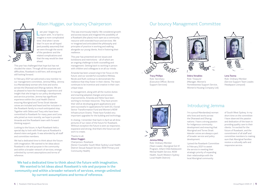



Tracy Phillips Role: Secretary (Executive Officer, Bonnie Support Services)



Debra Venables Role: Treasurer

(Manager, Women's Homelessness Support Service, Women's Housing Company Ltd)



### Lena Tooma

Role: Ordinary Member (Service Support Team Leader, Headspace Liverpool)

I'm a proud Mandandanji woman who lives and works across the Dharawal and Dharug nations. I have a strong passion for Indigenous community development and ensuring that Aboriginal and Torres Strait Islander voices are always a part of broader service and policy development.

I joined the Rosebank Committee in February 2021 to assist the service in meeting their strategic priority of expanding their relationships with the local Aboriginal community

of South West Sydney. In my short time on the committee I have observed the passion and dedication of the team in providing quality care to their clients. I'm excited for the future of Rosebank, and the commitment of all staff and committee members to making sure that Aboriginal families receive a culturally safe and responsive service.



# Alison Huggan, our bouncy Chairperson **Last year I began my<br>report with, 'It is hard to** imagine a more complicated

time'. And when I wrote that I'm sure we all hoped (and possibly assumed) that we were through the worst of the pandemic and the related complications and that the way would be clear ahead.

This year has challenged that hope but has not clouded the vision. Through all the surprises and difficulties, Rosebank is still here, still strong and still looking forward.

In February 2021 we welcomed a new member to our management committee, Jemma Milloy. Jemma is a Mandandanji woman who lives and works across the Dharawal and Dharug nations. We are so pleased to have the knowledge, experience and insight that she brings to our policy development and service priorities. Jemma has significant experience within the Local Health District ensuring Aboriginal and Torres Strait Islander voices are included and heard and her inclusion in the Rosebank family is a much anticipated step. Together with Debra and Tracy who have been committed to Rosebank for many years and Lena who joined us more recently, we hope to provide Amanda and the Rosebank team with forward thinking support.

Looking to the future, in April Rosebank held a special day to look with fresh eyes at Rosebank's shared vision and goals. It was attended by all staff and committee members.

We had a dedicated time to think about the future with imagination. We wanted to let ideas about Rosebank's role and purpose in the community and within a broader network of services, emerge unlimited by current assumptions and terms of reference.

This was enormously helpful. We considered growth and access issues and imagined the possibility of a Rosebank (the place) more open as a community resource with extended hours and services. We re-imagined and articulated the philosophy and principles of practice in working and walking alongside our young clients. And in fostering their resilience.

This year has presented service issues and lockdowns and restrictions – all of which are an ongoing challenge to both counselling and management. Getting back to working in person with children and colleagues is on all our minds.

Amanda has been unswerving in her focus on the future; and our wonderful counsellors Melissa, Nicole and Ruth continue to demonstrate the resilience that they foster in their clients. The team continues to be inventive and creative in their own unique ways.

In management, along with all the routine duties and enacting adopted changes and process improvements, Amanda and Heike have been working to increase resources. They have proven their skill at developing grant applications and were successful in applications for both DCJ Social Sector Transformation Fund and Women's NSW Infrastructure Grants. These have funded very important upgrades for the building and technology.

In closing, I remember that back in April we all drew pictures of our vision of the future for Rosebank. Without exception the future is seen as responsive, expansive and strong. And that's the future we will work to create.

## Thanks to all,

### Alison Huggan

Chairperson, Rosebank

(Senior Counsellor South West Sydney Local Health District Sexual Assault Service, NSW Primary and Community Health)

**We had a dedicated time to think about the future with imagination. We wanted to let ideas about Rosebank's role and purpose in the community and within a broader network of services, emerge unlimited by current assumptions and terms of reference.** 

Jemma Milloy Role: Ordinary Member (Team Leader, Aboriginal Got It! Program, Infant Child Adolescent Mental Health Service, NSW Health, South Western Sydney Local Health District)

## Introducing Jemma

## Our bouncy Management Committee

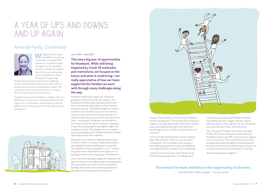# Amanda Pardy, Coordinator



Writing this year's report was difficult because as I write this, it's August 2021 and we are in lockdown again. And again we find ourselves unable to provide the valuable face to face counselling that we are so passionate about. Rosebank is supporting

families the best we can but there's no getting around the fact that the families we work with are isolated and restricted in leaving their homes. This means our team are required to work from home and offer their support over the phone.

The good news is that Rosebank is resilient. We are a great team. I am proud of us all and thankful for the support of our committee. We will get through this difficult time and spring back with strength, wisdom and passion.



## June 2020 – June 2021

**This was a big year of opportunities for Rosebank. While still being impacted by Covid-19 outbreaks and restrictions, we focused on the future and what it could bring. I am really appreciative of how our team supported the families we work with through many challenges along the way.** 

Rosebank continued to adapt our rooms and groupwork as the Covid risk was reduced. The families and clients responded beautifully to the warm, therapeutic space that our team worked so hard to provide. Covid had changed the way we needed to work and the way our rooms were set up, but towards the end of the financial year we could excitedly return our rooms to the way we like them – welcoming, friendly and comfortable for our clients. It was wonderful to have our sandplay in operation, groups gathering together again and meeting in person. The feedback from our clients was just amazing and the children and their families have really shown their resilience.

Rosebank had a number of opportunities to grab in this 12 months. A number of grant applications were applied for and thankfully were successful. This allowed for future upgrades to our IT network and group room, maintenance and repairs on our building's roof and two new groups to be held here.

One of the most exciting changes for Rosebank this year has been our new relationship with Bravehearts who have joined us to work out of our beautiful building. Bravehearts is an amazing organisation. They give vital personal safety education to



primary school children, preschools and childcare centres through their "Dittos Keep Safe Adventure" program. This age-appropriate information around body ownership and the right to be safe from an early age, is such a perfect complement to our own work.

I'd like to thank the Braveheart's team, Kayleen, Elise, Max and Kirra. Thank you for joining us at Rosebank. You've brought a new energy to our building, supported our team and helped us encourage safety for children in our community.

I speak for the whole team when I thank all our community and supporters, our Management

Committee and clients and Rosebank families for holding fast with us again this year. And for believing, with us, that together we can change the story and help each other write new ones!

Over the past 12 months, we've never lost sight of this. We've been seizing every opportunity for Rosebank to grow and offer more and more support to our community. This is at the heart of our new strategic plan which we began formulating earlier this year and which is now informing the way we see ourselves and the future of Rosebank, every day.

We are bouncing back together.

**The reward for work well done is the opportunity to do more.**

Jonas Salk (1914 -1995), virologist – the polio vaccine

# A Year of Ups and Downs and Up Again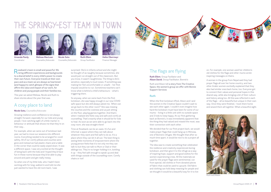**R**osebank's team is small and powerful. We<br>bring different experiences and backgrounds to a shared belief in every child's power to create their own future. Everyone travels at their own pace and as a team we are always so heartened (and happy) to catch glimpse of the signs that affirm the value and impact of our work, for children and young people and their families too.

This year we asked Melissa, Nicole and Ruth to share stories about the year that was.

## A cosy place to land

## Nicole Soto, Counsellor/Advocate

Growing resilience and confidence is not always straight-forward, especially for our kids and young people. I love catching sight of a little marker in behaviour or attitude that shows me that they're on their way...

For example, when we came out of lockdown last year, we had to move our sessions into different rooms. Everything needed to be arranged for covid safety. All of our comfy pillows and couches were gone and instead we had plastic chairs and a table in the corner that could be easily wiped down. It was a different space. I was very excited at the thought of being back with the kids and I hoped they'd have fun in these rooms because they'd be able to play around and paint and get really messy.

So when one of my little kids, who I hadn't been working with for long, walked in and told me she just wanted to have the old room back, I was

surprised. She's in infants school and she might be thought of as naughty because sometimes, she would just run straight out of the classroom. But you know, it wasn't naughtiness. The thing is she's sensitive, especially to loud noises. If something was making her feel uncomfortable or unsafe – her first impulse would be to run. Sometimes teachers can't know what is behind a child's behaviours – what's triggering them.

So anyway, when we came back from the first lockdown, she was happy enough in our new COVID safe space but she still always asked me, 'When can we go back to the other room?' She was missing the couches and the cosiness and us just sitting on the floor, playing games together. And that's when I realised she feels cosy and safe and comfy at counselling. That's exactly what it should be for kids to heal. As soon as we were able to go back into the cosy room, she was straight there!

Time at Rosebank can be an oasis. It's fun and informal: a space where they can talk about whatever they want and feel safe to do so. It's a place where they can let it all out. The best thing is seeing little moments of empowerment where the young person feels that it's not only me they can talk to but they can talk to Mum or Dad or their siblings too. They're no longer holding it in, bottling it up – they feel safe enough to speak up and deal with things outside of the counselling room. Comfy chairs or not!



# The flags are flying

Ruth Ellem, Group Faciliator and Alison David, Group Facilitator, Bonnie's

Ruth and Alison tell a story from The Creative Space, the women's group we offer with Bonnie Support Services

## **Ruth**

When the first lockdown lifted, Alison and I and the women in the Creative Space couldn't wait to see each other again. I couldn't even imagine how hard the lockdown must have been for some of our mums – living in a little unit with no outside space and 3 kids to keep happy. At our first gathering back at Bonnie's, it was immediately apparent that the thing they had valued and missed the most, was their connection with each other.

We decided that for our first project back, we would make prayer flags that could hang up in Mimosa, one of Bonnie's refuges. We thought that after so much time apart, it would be nice to do a project all together.

The idea was to create something that celebrated the resilience and creativity experienced during lockdown, and then give it to the refuge as a way of inspiring hope, support and good wishes for the women experiencing crisis. All the materials we used for the prayer flags were sentimental, cut from special, old clothes or from donated pieces of fabric that could be used to upcycle. Old fabric and clothing can hold deep meaning for people and we thought it would be a beautiful way for it to live on. For example, one woman used her children's old clothes for the flags and other mums wrote inspiring messages on theirs.

A woman in the group from Nepal said they had prayer flags all over her home country, and two other Arabic women excitedly explained that they also had similar ones back home, too. Everyone got to connect their values and personal hopes in this shared way, while also bringing a bit of their culture and history along too. All this was reflected in each of the flags – all so beautiful but unique in their own way. Once they were finished, I took them home and sewed them all together. What a beautiful sight.

# The springy-est team in town





Amanda Pardy Coordinator

Melissa MacLean Counsellor/Advocate



Ruth Ellem Group Facilitator



Heike Obermayr Finance Manager



Ruth and Alison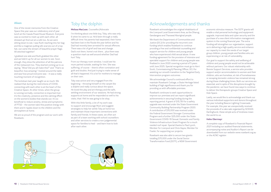## **Alison**

One of the nicest memories from the Creative Space this year was our celebratory end of year lunch at the Casula PowerHouse Museum. Everyone was so excited to meet up with each other, all dressed up! And out at a cafe too. As we were sitting down to eat, I saw Ruth reaching into her bag and like a magician pulling silk scarves out of a top hat, out came the stream of beautiful prayer flags. All stitched together!

I grabbed one side and Ruth grabbed the other and we held it up for all our women to see. Soon enough, they drew the attention of all the patrons of the restaurant too. They started coming up to us saying, "Wow! Did you all make this?" and "That's so beautiful, how amazing." I looked around the table and saw how proud everyone was – it was a really touching moment of recognition.

I'm thinking about one little boy, Toby, who was only 6 when he came to us. He'd been through a really difficult time: his parents had separated, their home had been lost in the floods the year before and his Dad had recently been arrested for sexual offences. There was a lot of grief and loss and change. Dad's not there, home's not there... plus there was a question mark as well around whether Dad had hurt Toby.

The lockdown last year taught us so much. We realised that during the restrictions of COVID, connecting with each other is at the heart of the Creative Space. At other times, when the group is running normally, connection is important but it's the creativity, presence and the calming effect on the women's bodies that stands out. It's so beneficial to reduce anxiety, stress and symptoms of PTSD – the women take this positive energy with them and it ripples down to the children and the atmosphere at home.

We are so proud of the program and our work with Rosebank.

# Toby the dolphin

Melissa MacLean, Counsellor/Advocate

From our therapy room window, I could see his mum parked outside, waiting for him. She was suffering, of course – there's often rumination and guilt and doubts. And just trying to make sense of all that's happened. It's a lot for mothers to manage on their own.

Toby was active and very engaged from the beginning – throwing himself on the carpet like a dolphin and really curious about the space. He loved the play and art therapy and the safe, settling environment of our sessions. He had strong supports at home and he responded so well to his visits, that I felt he was going to be okay.

With this little family, a lot of my work was to support and encourage Mum and suggest strategies to help her settle Toby at home too and maintain those important connections with family and friends. In these cases, we often act as part of a team working with school counsellors and other services to create a non-judgemental space for families to heal – and learn how to look after each other.



# Acknowledgements and thanks

Rosebank acknowledges the original inhabitants of the Liverpool Local Government Area, as the Dharug, Gandangara and Tharawal Aboriginal people.

We thank the Department of Communities and Justice (DCJ) for providing the recurrent core funding which enables Rosebank to continue providing a free and confidential counselling and support service for children and young people who have experienced child sexual abuse. A new funding agreement for the provision of intensive and specialist support for children and young people was finalised in June 2020 covering a period of 5 years until June 2025. Special recognition must go to Kerri Scott, Commissioning & Planning Officer, DCJ for assisting our smooth transition to the Targeted Early Intervention program outcomes.

We acknowledge Council's continued effort to maintain Rosebank Cottage, a State Heritage listed building of high significance and thank you for providing us with affordable premises.

Rosebank continues to seek opportunities to improve our premises and can report significant achievements in securing funding during the reporting period. A grant of \$15,761 for a safety upgrade was received under the State Government Community Building Partnership Program 2020. A contribution of \$15,000 was received under the Federal Government Stronger Communities Program and a further \$25,000 under the State Government COVID-19 Sexual, Domestic and Family Violence Infrastructure Grant Program for a much needed roof repair. Special thanks to Paul Lynch, Member for Liverpool and Chris Hayes, Member for Fowler, for supporting our projects.

Rosebank was also able to secure two grants totalling \$70,000 under the Social Sector Transformation Fund (SSTF), a NSW Government

economic stimulus measure. The SSTF grants will enable a vital personal technology and equipment upgrade, improved data and cyber security and the purchase of a new client information management system in the coming financial year. The extra funding will strengthen our organisation, support us in delivering a high quality service and enhance our capacity to meet the needs of our target group children, young people and families who are experiencing or at risk of vulnerability.

Our goal to support the safety and wellbeing of children and young people would not be achievable without partners. Our robust relationship with Bonnie Support Services, a service who provides support and/or accommodation to women and their children, who are homeless, at risk of homelessness or escaping domestic violence has remained strong during these challenging times. Both our services are essential, and in spite of the disruptions brought by the pandemic, we have found new ways to continue to deliver the therapeutic groups Creative Space and Kidz Space.

Lastly, we would like to acknowledge and thank our various individual supporters and donors throughout the year including Beacon Lighting Crossroads. For example, this year we unexpectedly received the proceeds of a cake sale organised by SCEGGS Darlinghurst, these simple acts of kindness mean the world to us.

### Heike Obermayr

A complete copy of Rosebank's Financial Report 2021 including our audited financial statements, accompanying notes and Auditor's Report can be downloaded from our website www.rosebank.org.au or the ACNC register.